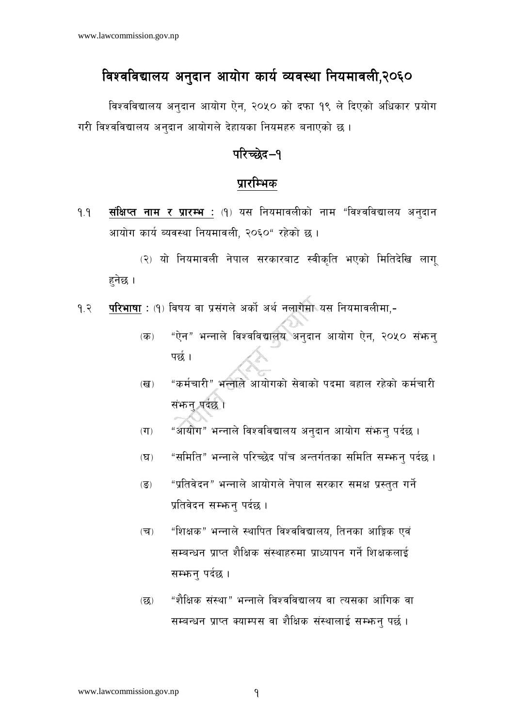## *विश्वविद्यालय अनुदान आयोग कार्य व्यवस्था नियमावली,*२०६०

*विश्वविद्यालय अनदान आयोग ऐन, २०*५० को दफा १९ ले दिएको अधिकार प्रयोग गरी विश्वविद्यालय अनुदान आयोगले देहायका नियमहरु बनाएको छ ।

## *kl/R5]b— kl/R5]b—!*

## *k|f/lDes*

*!=! ;+lIfKt gfd / k|f/De M ;+lIfKt gfd / k|f/De M -!\_ o; lgodfjnLsf] gfd æljZjljBfno cg'bfg cfof]u sfo{ Aoj:yf lgodfjnL, @)^)æ /x]sf] 5 .* 

(२) यो नियमावली नेपाल सरकारबाट स्वीकृति भएको मितिदेखि लाग<u>ु</u> *x'g]5 .* 

- *!=@ kl/efiff kl/efiff M -!\_ ljifo jf k|;+un] csf]{ cy{ gnfu]df o; lgodfjnLdf, M* 
	- (क) "ऐन" भन्नाले विश्वविद्यालय अनुदान आयोग ऐन, २०५० सं**भ**न्न पर्छ ।
	- *(*ख) "कर्मचारी" भन्नाले आयोगको सेवाको पदमा बहाल रहेको कर्मचारी सं**भान् पर्दछ।**
	- $\overline{u}$ <sub>)</sub> "आयोग" भन्नाले विश्वविद्यालय अनुदान आयोग संफ़न् पर्दछ ।
	- (घ) "समिति" भन्नाले परिच्छेद पाँच अन्तर्गतका समिति सम्भन् पर्दछ ।
	- (ङ) "प्रतिवेदन" भन्नाले आयोगले नेपाल सरकार समक्ष प्रस्तुत गर्ने *प्र*तिवेदन सम्भ्रन् पर्दछ ।
	- (च) "शिक्षक" भन्नाले स्थापित विश्वविद्यालय, तिनका आङ्गिक एवं *सम्बन्धन प्राप्त शैक्षिक संस्थाहरुमा प्राध्यापन गर्ने शिक्षकलाई सम्भान पर्दछ ।*
	- (छ) "शैक्षिक संस्था" भन्नाले विश्वविद्यालय वा त्यसका आंगिक वा *सम्बन्धन प्राप्त क्याम्पस वा शैक्षिक सं*स्थालाई सम्फन पर्छ ।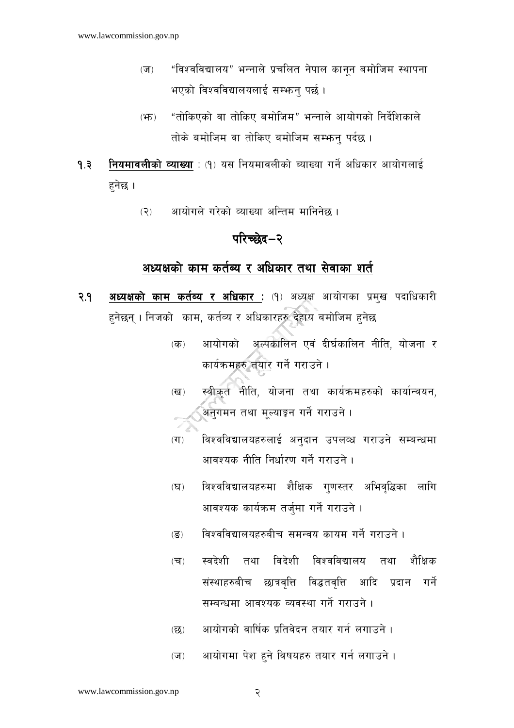- $(\overline{\mathbf{v}})$ "विश्वविद्यालय" भन्नाले प्रचलित नेपाल कानन बमोजिम स्थापना भएको विश्वविद्यालयलाई सम्भन्न पर्छ।
- "तोकिएको वा तोकिए बमोजिम" भन्नाले आयोगको निर्देशिकाले  $(\overline{H})$ तोके बमोजिम वा तोकिए बमोजिम सम्भन्न पर्दछ ।

नियमावलीको व्याख्या : (१) यस नियमावलीको ब्याख्या गर्ने अधिकार आयोगलाई  $9.3$ हनेछ ।

> आयोगले गरेको व्याख्या अन्तिम मानिनेछ ।  $(5)$

## परिच्छेद–२

### अध्यक्षको काम कर्तब्य र अधिकार तथा सेवाका शर्त

- अध्यक्षको काम कर्तव्य र अधिकार: (१) अध्यक्ष आयोगका प्रमुख पदाधिकारी २.१ $\blacksquare$ हनेछन् । निजको काम, कर्तव्य र अधिकारहरु देहाय बमोजिम हुनेछ
	- आयोगको अल्पकालिन एवं दीर्घकालिन नीति, योजना र  $(\overline{d}$ कार्यक्रमहरु तयार गर्ने गराउने ।
	- स्वीकृत नीति, योजना तथा कार्यक्रमहरुको कार्यान्वयन,  $(\overline{d})$ अनगमन तथा मुल्याङ्कन गर्ने गराउने ।
	- विश्वविद्यालयहरुलाई अनदान उपलव्ध गराउने सम्बन्धमा  $(TF)$ आवश्यक नीति निर्धारण गर्ने गराउने ।
	- विश्वविद्यालयहरुमा शैक्षिक गणस्तर अभिवद्धिका लागि  $(\nabla)$ आवश्यक कार्यक्रम तर्जमा गर्ने गराउने ।
	- विश्वविद्यालयहरुबीच समन्वय कायम गर्ने गराउने ।  $\overline{(\overline{S})}$
	- तथा विदेशी विश्वविद्यालय तथा शैक्षिक  $(\overline{\mathbf{v}})$ स्वदेशी संस्थाहरुबीच छात्रवृत्ति विद्धतवृत्ति आदि प्रदान गर्ने सम्बन्धमा आवश्यक व्यवस्था गर्ने गराउने ।
	- आयोगको वार्षिक प्रतिवेदन तयार गर्न लगाउने ।  $(\overline{\mathbf{52}})$
	- आयोगमा पेश हुने विषयहरु तयार गर्न लगाउने।  $(\overline{\mathbf{v}})$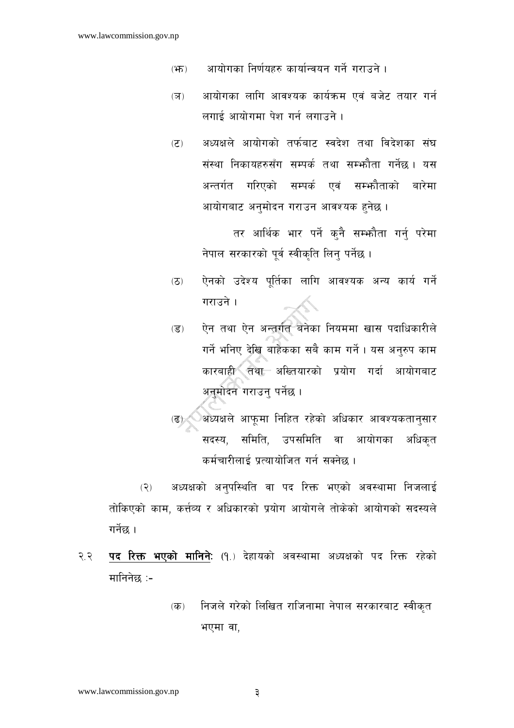- आयोगका निर्णयहरु कार्यान्वयन गर्ने गराउने ।  $(\overline{H})$
- आयोगका लागि आवश्यक कार्यक्रम एवं बजेट तयार गर्न  $(\overline{3})$ लगाई आयोगमा पेश गर्न लगाउने ।
- अध्यक्षले आयोगको तर्फबाट स्वदेश तथा विदेशका संघ  $(5)$ संस्था निकायहरुसँग सम्पर्क तथा सम्भ्कौता गर्नेछ। यस अन्तर्गत गरिएको सम्पर्क एवं सम्भौताको बारेमा आयोगबाट अनुमोदन गराउन आवश्यक हुनेछ ।

तर आर्थिक भार पर्ने कुनै सम्फौता गर्नु परेमा नेपाल सरकारको पर्व स्वीकति लिन पर्नेछ।

- ऐनको उदेश्य पर्तिका लागि आवश्यक अन्य कार्य गर्ने  $(5)$ गराउने ।
- ऐन तथा ऐन अन्तर्गत बनेका नियममा खास पदाधिकारीले  $\overline{(\overline{S})}$ गर्ने भनिए देखि बाहेकका सबै काम गर्ने। यस अनुरुप काम कारबाही तथा अख्तियारको प्रयोग गर्दा आयोगबाट अनुमोदन गराउन् पर्नेछ ।
- (ढ) अध्यक्षले आफूमा निहित रहेको अधिकार आवश्यकतानुसार सदस्य, समिति, उपसमिति वा आयोगका अधिकत कर्मचारीलाई प्रत्यायोजित गर्न सक्नेछ ।

अध्यक्षको अनुपस्थिति वा पद रिक्त भएको अवस्थामा निजलाई  $(5)$ तोकिएको काम, कर्त्तव्य र अधिकारको प्रयोग आयोगले तोकेको आयोगको सदस्यले गर्नेछ ।

- पद रिक्त भएको मानिने: (१.) देहायको अवस्थामा अध्यक्षको पद रिक्त रहेको २.२ मानिनेछ :-
	- निजले गरेको लिखित राजिनामा नेपाल सरकारबाट स्वीकृत  $(\overline{d}$ ) भएमा वा,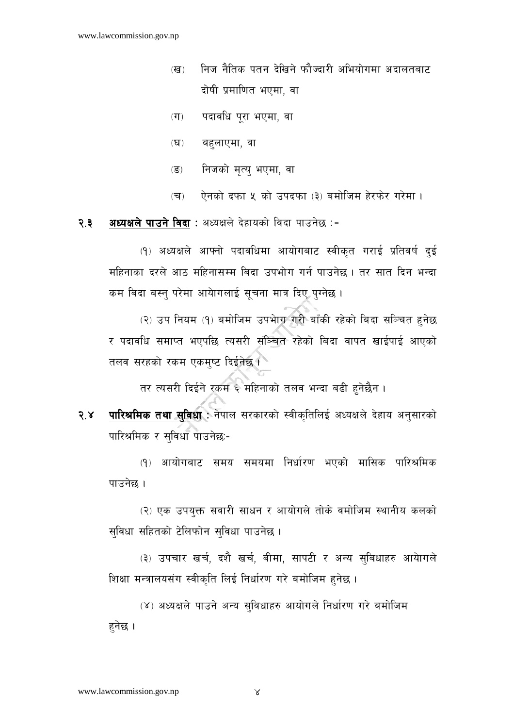- निज नैतिक पतन देखिने फौज्दारी अभियोगमा अदालतबाट  $(\overline{d})$ दोषी प्रमाणित भएमा. वा
- पदावधि पुरा भएमा, वा  $(T)$
- बहलाएमा, वा  $(\mathbf{\nabla})$
- निजको मृत्यु भएमा, वा  $\overline{(\overline{S})}$
- ऐनको दफा ५ को उपदफा (३) बमोजिम हेरफेर गरेमा।  $(\overline{\mathbf{v}})$

अध्यक्षले पाउने विदा : अध्यक्षले देहायको विदा पाउनेछ :-२.३ $\overline{a}$ 

> (१) अध्यक्षले आफ्नो पदावधिमा आयोगबाट स्वीकृत गराई प्रतिवर्ष दुई महिनाका दरले आठ महिनासम्म बिंदा उपभोग गर्न पाउनेछ । तर सात दिन भन्दा कम बिदा बस्नु परेमा आयोगलाई सूचना मात्र दिए पुग्नेछ ।

> (२) उप नियम (१) बमोजिम उपभाग गरी बाँकी रहेको बिदा सञ्चित हुनेछ र पदावधि समाप्त भएपछि त्यसरी संञ्चित रहेको बिदा वापत खाईपाई आएको तलव सरहको रकम एकम्ष्ट दिईनेछ ।

तर त्यसरी दिईने रकम ६ महिनाको तलव भन्दा बढी हुनेछैन ।

पारिश्रमिक तथा सुविधा : नेपाल सरकारको स्वीकृतिलिई अध्यक्षले देहाय अनुसारको  $3.8$ पारिश्रमिक र सविधा पाउनेछ:-

(१) आयोगबाट समय समयमा निर्धारण भएको मासिक पारिश्रमिक पाउनेछ ।

(२) एक उपयुक्त सवारी साधन र आयोगले तोके वमोजिम स्थानीय कलको सुविधा सहितको टेलिफोन सुविधा पाउनेछ।

(३) उपचार खर्च, दशै खर्च, बीमा, सापटी र अन्य सबिधाहरु आयेागले शिक्षा मन्त्रालयसंग स्वीकृति लिई निर्धारण गरे बमोजिम हुनेछ ।

(४) अध्यक्षले पाउने अन्य सुविधाहरु आयोगले निर्धारण गरे बमोजिम हनेछ ।

 $\propto$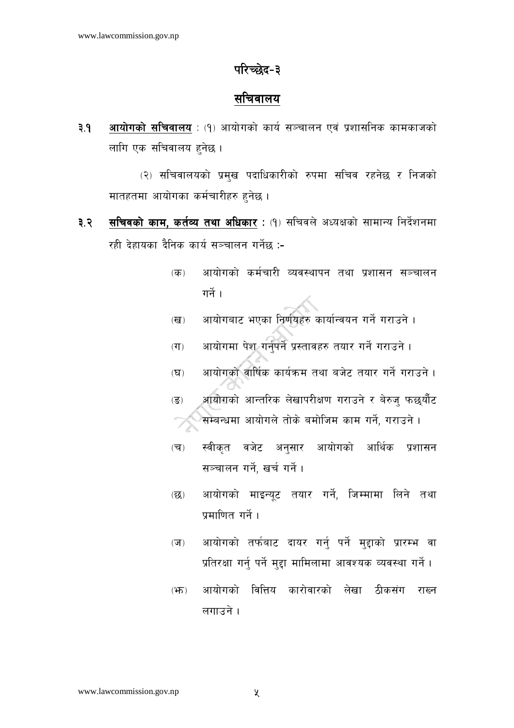## परिच्छेद-३

## सचिवालय

 $9.9$ **आयोगको सचिवालय**: (१) आयोगको कार्य सञ्चालन एवं प्रशासनिक कामकाजको लागि एक सचिवालय हनेछ ।

(२) सचिवालयको प्रमुख पदाधिकारीको रुपमा सचिव रहनेछ र निजको मातहतमा आयोगका कर्मचारीहरु हुनेछ ।

- सचिवको काम, कर्तव्य तथा अधिकार : (१) सचिवले अध्यक्षको सामान्य निर्देशनमा ३.२ रही देहायका दैनिक कार्य सञ्चालन गर्नेछ :-
	- आयोगको कर्मचारी व्यवस्थापन तथा प्रशासन सञ्चालन  $(\overline{d\overline{b}})$ गर्ने ।
	- आयोगबाट भएका निर्णयहरु कार्यान्वयन गर्ने गराउने ।  $(\overline{d})$
	- आयोगमा पेश गर्नपर्ने प्रस्तावहरु तयार गर्ने गराउने।  $(T)$
	- आयोगको वार्षिक कार्यक्रम तथा बजेट तयार गर्ने गराउने ।  $(\nabla)$
	- आयोगको आन्तरिक लेखापरीक्षण गराउने र बेरुज् फछुर्यौट  $\overline{(\overline{S})}$ सम्बन्धमा आयोगले तोके बमोजिम काम गर्ने, गराउने।
	- स्वीकृत वजेट अनुसार आयोगको आर्थिक प्रशासन  $(\overline{\mathbf{v}})$ सञ्चालन गर्ने, खर्च गर्ने।
	- आयोगको माइन्यूट तयार गर्ने, जिम्मामा लिने तथा  $(\overline{\mathcal{Q}})$ प्रमाणित गर्ने ।
	- आयोगको तर्फबाट दायर गर्न् पर्ने मुद्दाको प्रारम्भ वा  $(\overline{v})$ प्रतिरक्षा गर्नु पर्ने मुद्दा मामिलामा आवश्यक व्यवस्था गर्ने ।
	- आयोगको वित्तिय कारोवारको लेखा ठीकसंग राख्न  $(\mathfrak{F})$ लगाउने ।

 $\chi$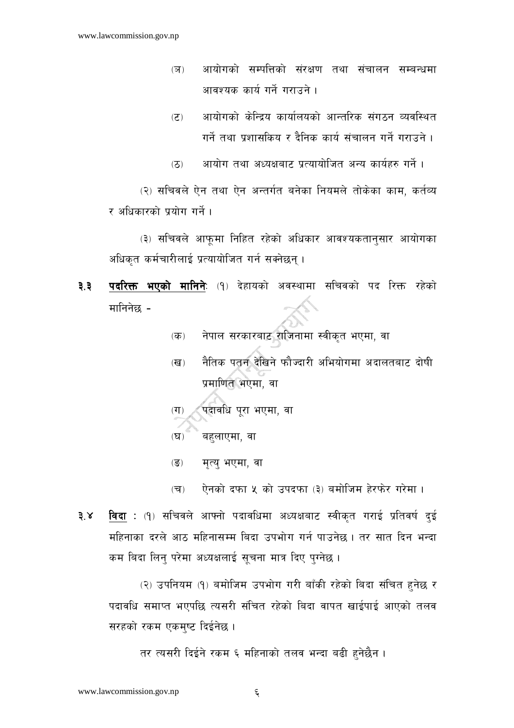- आयोगको सम्पत्तिको संरक्षण तथा संचालन सम्बन्धमा  $(5)$ आवश्यक कार्य गर्ने गराउने ।
- आयोगको केन्द्रिय कार्यालयको आन्तरिक संगठन व्यवस्थित  $(5)$ गर्ने तथा प्रशासकिय र दैनिक कार्य संचालन गर्ने गराउने ।

आयोग तथा अध्यक्षबाट प्रत्यायोजित अन्य कार्यहरु गर्ने ।  $(5)$ 

(२) सचिवले ऐन तथा ऐन अन्तर्गत बनेका नियमले तोकेका काम, कर्तव्य र अधिकारको प्रयोग गर्ने।

(३) सचिवले आफूमा निहित रहेको अधिकार आवश्यकतान्सार आयोगका अधिकृत कर्मचारीलाई प्रत्यायोजित गर्न सक्नेछन् ।

- पदरिक्त भएको मानिने: (१) देहायको अवस्थामा सचिवको पद रिक्त रहेको ३.३ मानिनेछ -
	- नेपाल सरकारबाट राजिनामा स्वीकत भएमा, वा  $(\overline{d} \overline{b})$
	- नैतिक पतन देखिने फौज्दारी अभियोगमा अदालतबाट दोषी  $(\overline{d})$ प्रमाणित भेएमा, वा

पदावधि परा भएमा, वा  $(T)$ 

- बहलाएमा, वा  $(\mathbf{\nabla})$
- मृत्य भएमा, वा  $\overline{(\overline{S})}$

ऐनको दफा ५ को उपदफा (३) बमोजिम हेरफेर गरेमा ।  $(\overline{\mathbf{v}})$ 

**विदा** : (१) सचिवले आफ्नो पदावधिमा अध्यक्षबाट स्वीकत गराई प्रतिवर्ष दई  $3x$ महिनाका दरले आठ महिनासम्म बिदा उपभोग गर्न पाउनेछ। तर सात दिन भन्दा कम बिदा लिन् परेमा अध्यक्षलाई सूचना मात्र दिए पुग्नेछ ।

(२) उपनियम (१) बमोजिम उपभोग गरी बाँकी रहेको बिदा संचित हुनेछ र पदावधि समाप्त भएपछि त्यसरी संचित रहेको बिदा वापत खाईपाई आएको तलव सरहको रकम एकमुष्ट दिईनेछ ।

तर त्यसरी दिईने रकम ६ महिनाको तलव भन्दा बढी हुनेछैन।

 $\xi$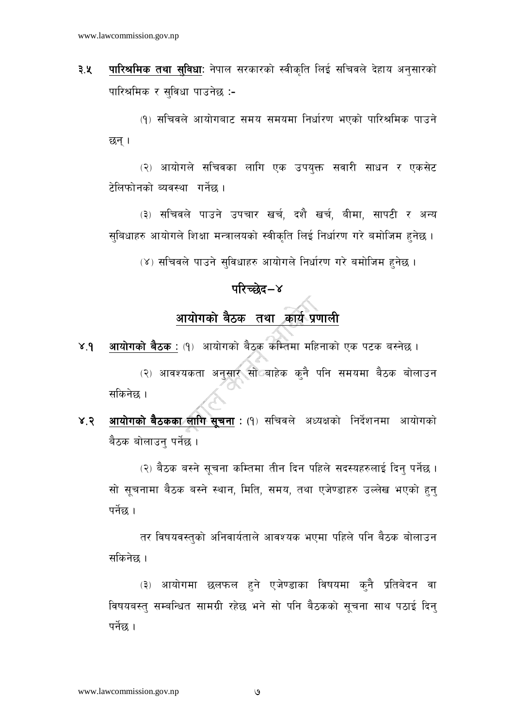पारिश्रमिक तथा सुविधा: नेपाल सरकारको स्वीकृति लिई सचिवले देहाय अनुसारको ३.५ पारिश्रमिक र सविधा पाउनेछ :-

(१) सचिवले आयोगबाट समय समयमा निर्धारण भएको पारिश्रमिक पाउने छन् ।

(२) आयोगले सचिवका लागि एक उपयक्त सवारी साधन र एकसेट टेलिफोनको ब्यवस्था गर्नेछ ।

(३) सचिवले पाउने उपचार खर्च, दशै खर्च, बीमा, सापटी र अन्य सुबिधाहरु आयोगले शिक्षा मन्त्रालयको स्वीकृति लिई निर्धारण गरे बमोजिम हुनेछ।

(४) सचिवले पाउने सविधाहरु आयोगले निर्धारण गरे बमोजिम हनेछ ।

## परिच्छेद–४

## <u>आयोग</u>को बैठक तथा कार्य प्रणाली

- **आयोगको बैठक** : (१) आयोगको बैठक कम्तिमा महिनाको एक पटक बस्नेछ ।  $X,9$ (२) आवश्यकता अनुसार सो बाहेक कनै पनि समयमा बैठक बोलाउन सकिनेछ ।
- **आयोगको बैठकका लागि सूचना** : (१) सचिवले अध्यक्षको निर्देशनमा आयोगको  $8.8$ बैठक बोलाउन् पर्नेछ ।

(२) बैठक बस्ने सूचना कम्तिमा तीन दिन पहिले सदस्यहरुलाई दिन् पर्नेछ । सो सूचनामा बैठक बस्ने स्थान, मिति, समय, तथा एजेण्डाहरु उल्लेख भएको हुन् पर्नेछ ।

तर विषयवस्तको अनिवार्यताले आवश्यक भएमा पहिले पनि बैठक बोलाउन सकिनेछ ।

(३) आयोगमा छलफल हुने एजेण्डाका विषयमा कनै प्रतिबेदन वा विषयबस्त् सम्बन्धित सामग्री रहेछ भने सो पनि बैठकको सूचना साथ पठाई दिन् पर्नेछ ।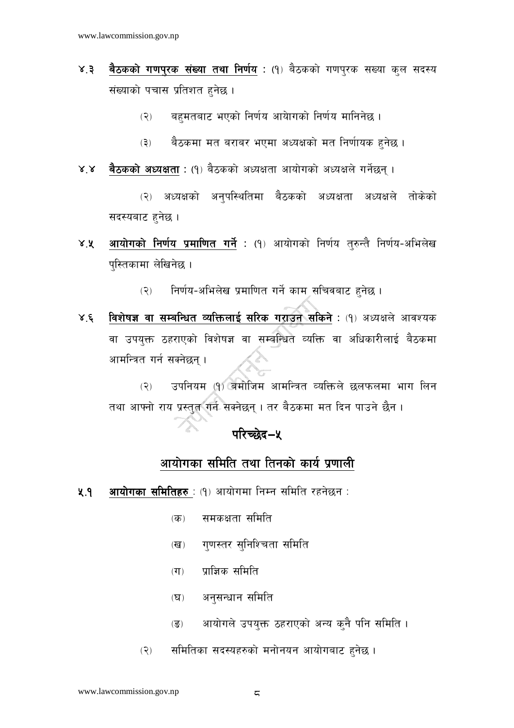- बैठकको गणपुरक संख्या तथा निर्णय : (१) बैठकको गणपुरक सख्या कुल सदस्य  $X, \xi$ संख्याको पचास प्रतिशत हुनेछ ।
	- बहमतबाट भएको निर्णय आयेागको निर्णय मानिनेछ ।  $(5)$
	- बैठकमा मत बराबर भएमा अध्यक्षको मत निर्णायक हुनेछ ।  $(5)$
- बैठकको अध्यक्षता : (१) बैठकको अध्यक्षता आयोगको अध्यक्षले गर्नेछन् ।  $X^{\prime}X$

अध्यक्षको अनुपस्थितिमा बैठकको अध्यक्षता अध्यक्षले तोकेको  $(5)$ सदस्यबाट हुनेछ ।

- आयोगको निर्णय प्रमाणित गर्ने : (१) आयोगको निर्णय तुरुन्तै निर्णय-अभिलेख  $X, X$ पुस्तिकामा लेखिनेछ।
	- निर्णय-अभिलेख प्रमाणित गर्ने काम सचिवबाट हनेछ ।  $(5)$
- विशेषज्ञ वा सम्बन्धित व्यक्तिलाई सरिक गराउन सकिने: (१) अध्यक्षले आवश्यक  $X \xi$ वा उपयक्त ठहराएको विशेषज्ञ वा सम्बन्धित व्यक्ति वा अधिकारीलाई बैठकमा आमन्त्रित गर्न सक्नेछन ।

उपनियम (१) बमोजिम आमन्त्रित व्यक्तिले छलफलमा भाग लिन  $(5)$ तथा आफ्नो राय प्रस्तुत गर्न सक्नेछन् । तर बैठकमा मत दिन पाउने छैन ।

## परिच्छेद–५

## आयोगका समिति तथा तिनको कार्य प्रणाली

- आयोगका समितिहरु : (१) आयोगमा निम्न समिति रहनेछन :  $9.9$ 
	- समकक्षता समिति  $(\overline{d}$
	- गणस्तर सनिश्चिता समिति  $(\overline{d})$
	- $($ ग $)$  पाजिक समिति
	- अनुसन्धान समिति  $(\nabla)$
	- आयोगले उपयुक्त ठहराएको अन्य क्नै पनि समिति ।  $(\overline{S})$
	- समितिका सदस्यहरुको मनोनयन आयोगबाट हनेछ।  $(5)$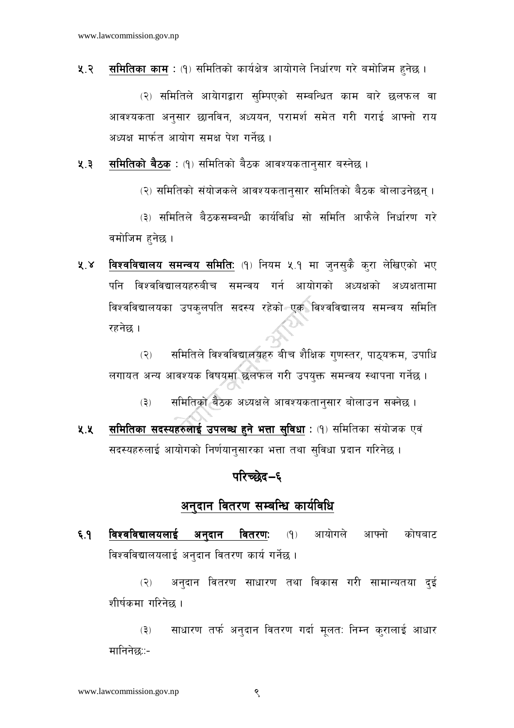<mark>समितिक<u>ा काम</u> : (</mark>१) समितिको कार्यक्षेत्र आयोगले निर्धारण गरे बमोजिम हुनेछ । ५.२ $\overline{a}$ 

(२) समितिले आयेागद्वारा सम्पिएको सम्बन्धित काम बारे छलफल वा आवश्यकता अनुसार छानविन, अध्ययन, परामर्श समेत गरी गराई आफ्नो राय अध्यक्ष मार्फत आयोग समक्ष पेश गर्नेछ ।

समितिको बैठक : (१) समितिको बैठक आवश्यकतान्सार बस्नेछ ।  $4.3$ 

(२) समितिको संयोजकले आवश्यकतानसार समितिको बैठक बोलाउनेछन् ।

(३) समितिले बैठकसम्बन्धी कार्यविधि सो समिति आफैले निर्धारण गरे वमोजिम हनेछ ।

विश्वविद्यालय समन्वय समिति: (१) नियम ५.१ मा जुनसुकै कुरा लेखिएको भए  $X^{\prime}$ पनि विश्वविद्यालयहरुबीच समन्वय गर्न आयोगको अध्यक्षको अध्यक्षतामा विश्वविद्यालयका उपकलपति सदस्य रहेको एक विश्वविद्यालय समन्वय समिति रहनेछ ।

समितिले विश्वविद्यालयहरु बीच शैक्षिक गुणस्तर, पाठुयक्रम, उपाधि  $(5)$ लगायत अन्य आवश्यक विषयमा छलफल गरी उपयक्त समन्वय स्थापना गर्नेछ ।

समितिको बैठक अध्यक्षले आवश्यकतानुसार बोलाउन सक्नेछ ।  $(5)$ 

समितिका सदस्यहरुलाई उपलब्ध हुने भत्ता सुविधा : (१) समितिका संयोजक एवं ५.५ सदस्यहरुलाई आयोगको निर्णयानसारका भत्ता तथा सविधा प्रदान गरिनेछ ।

#### परिच्छेद–६

## <u>अनुदान वितरण सम्बन्धि का</u>र्यविधि

विश्वविद्यालयलाई अनदान वितरण: आयोगले आफ्नो कोषबाट  $6.9$  $(9)$ विश्वविद्यालयलाई अनुदान वितरण कार्य गर्नेछ ।

अनुदान वितरण साधारण तथा विकास गरी सामान्यतया दुई  $(5)$ शीर्षकमा गरिनेछ ।

साधारण तर्फ अनुदान वितरण गर्दा मुलत: निम्न कुरालाई आधार  $(3)$ मानिनेछ∷−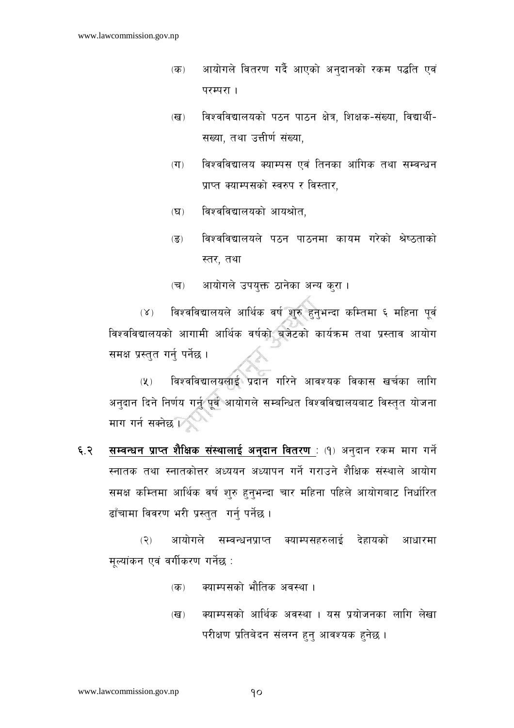- आयोगले वितरण गर्दै आएको अनदानको रकम पद्धति एवं  $(\overline{d}$ परम्परा ।
- विश्वविद्यालयको पठन पाठन क्षेत्र, शिक्षक-संख्या, विद्यार्थी- $(\overline{d})$ सख्या, तथा उत्तीर्ण संख्या,
- विश्वविद्यालय क्याम्पस एवं तिनका आंगिक तथा सम्वन्धन  $(T)$ प्राप्त क्याम्पसको स्वरुप र विस्तार.
- विश्वविद्यालयको आयश्रोत,  $(\nabla)$
- विश्वविद्यालयले पठन पाठनमा कायम गरेको श्रेष्ठताको  $\overline{(\overline{S})}$ स्तर, तथा
- आयोगले उपयुक्त ठानेका अन्य कुरा।  $(\overline{\mathbf{v}})$

विश्वविद्यालयले आर्थिक वर्ष शुरु हुनुभन्दा कम्तिमा ६ महिना पूर्व  $(X)$ विश्वविद्यालयको आगामी आर्थिक वर्षको बजेटको कार्यक्रम तथा प्रस्ताव आयोग समक्ष प्रस्तुत गर्न पर्नेछ ।

विश्वविद्यालयलाई प्रदान गरिने आवश्यक विकास खर्चका लागि  $(\lambda)$ अनुदान दिने निर्णय गर्नु पूर्व आयोगले सम्बन्धित विश्वविद्यालयबाट विस्तुत योजना माग गर्न सक्नेछ छि

सम्बन्धन प्राप्त शैक्षिक संस्थालाई अनुदान वितरण : (१) अनुदान रकम माग गर्ने ६.२ स्नातक तथा स्नातकोत्तर अध्ययन अध्यापन गर्ने गराउने शैक्षिक संस्थाले आयोग समक्ष कम्तिमा आर्थिक वर्ष शुरु हुनुभन्दा चार महिना पहिले आयोगबाट निर्धारित ढाँचामा विवरण भरी प्रस्तुत गर्नु पर्नेछ।

आयोगले सम्बन्धनप्राप्त क्याम्पसहरुलाई देहायको  $(5)$ आधारमा मुल्यांकन एवं वर्गीकरण गर्नेछ :

- क्याम्पसको भौतिक अवस्था ।  $(\overline{d\overline{b}})$
- क्याम्पसको आर्थिक अवस्था । यस प्रयोजनका लागि लेखा  $(\overline{d})$ परीक्षण प्रतिबेदन संलग्न हुन् आवश्यक हुनेछ ।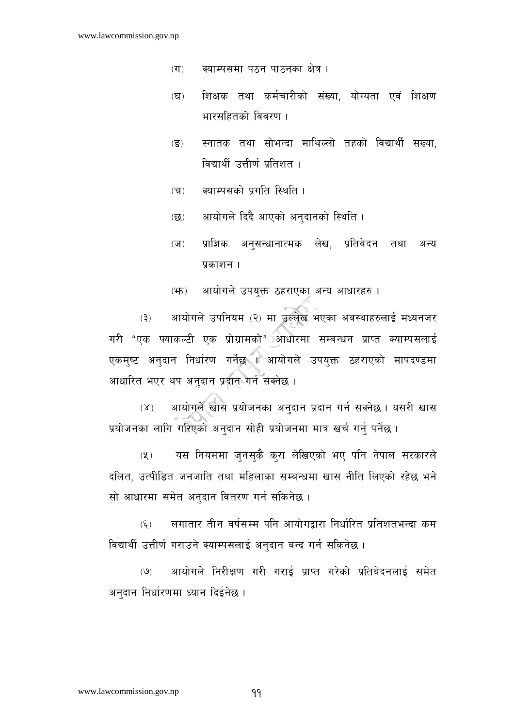- क्याम्पसमा पठन पाठनका क्षेत्र ।  $(T)$
- शिक्षक तथा कर्मचारीको संख्या, योग्यता एवं शिक्षण  $(\overline{B})$ भारसहितको विवरण ।
- स्नातक तथा सोभन्दा माथिल्लो तहको विद्यार्थी सख्या.  $(\overline{S})$ विद्यार्थी उत्तीर्ण प्रतिशत ।
- क्याम्पसको प्रगति स्थिति ।  $(\overline{\mathbf{v}})$
- आयोगले दिदै आएको अनुदानको स्थिति ।  $(55)$
- प्राज्ञिक अनुसन्धानात्मक लेख, प्रतिवेदन तथा अन्य  $(\overline{\mathbf{v}})$ प्रकाशन ।
- आयोगले उपयुक्त ठहराएका अन्य आधारहरु ।  $(\mathfrak{F})$

आयोगले उपनियम (२) मा उल्लेख भएका अवस्थाहरुलाई मध्यनजर  $(5)$ गरी "एक फ्याकल्टी एक प्रोग्रामको" आधारमा सम्बन्धन प्राप्त क्याम्पसलाई एकमुष्ट अनुदान निर्धारण गर्नेछ । आयोगले उपयुक्त ठहराएको मापदण्डमा आधारित भएर थप अनुदान प्रदान गर्न सक्नेछ ।

आयोगले खास प्रयोजनका अनुदान प्रदान गर्न सक्नेछ । यसरी खास  $(X)$ प्रयोजनका लागि गरिएको अनुदान सोही प्रयोजनमा मात्र खर्च गर्नु पर्नेछ ।

यस नियममा जुनसुकै कुरा लेखिएको भए पनि नेपाल सरकारले  $(\lambda)$ दलित, उत्पीडित जनजाति तथा महिलाका सम्बन्धमा खास नीति लिएको रहेछ भने सो आधारमा समेत अनदान वितरण गर्न सकिनेछ ।

लगातार तीन वर्षसम्म पनि आयोगद्रारा निर्धारित प्रतिशतभन्दा कम  $(\xi)$ विद्यार्थी उत्तीर्ण गराउने क्याम्पसलाई अनुदान बन्द गर्न सकिनेछ ।

आयोगले निरीक्षण गरी गराई प्राप्त गरेको प्रतिबेदनलाई समेत  $(9)$ अनुदान निर्धारणमा ध्यान दिईनेछ ।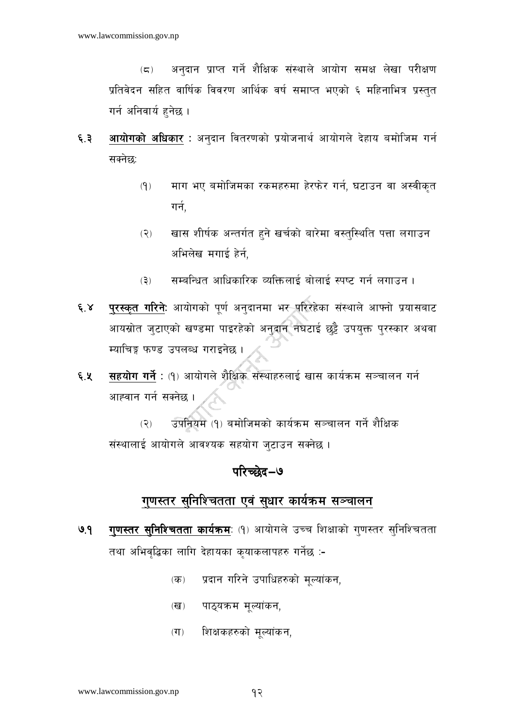अनदान प्राप्त गर्ने शैक्षिक संस्थाले आयोग समक्ष लेखा परीक्षण  $(\boldsymbol{\Xi})$ प्रतिवेदन सहित वार्षिक विवरण आर्थिक वर्ष समाप्त भएको ६ महिनाभित्र प्रस्तुत गर्न अनिवार्य हुनेछ ।

- आयोगको अधिकार : अनुदान वितरणको प्रयोजनार्थ आयोगले देहाय बमोजिम गर्न ६.३ सक्नेछ:
	- $(9)$ माग भए बमोजिमका रकमहरुमा हेरफेर गर्न, घटाउन वा अस्वीकत गर्न.
	- खास शीर्षक अन्तर्गत हुने खर्चको बारेमा वस्तुस्थिति पत्ता लगाउन  $(5)$ अभिलेख मगाई हेर्न,
	- सम्बन्धित आधिकारिक व्यक्तिलाई बोलाई स्पष्ट गर्न लगाउन ।  $(5)$
- पुरस्कृत गरिने: आयोगको पर्ण अनुदानमा भर परिरहेका संस्थाले आफ्नो प्रयासबाट  $6.8$ आयस्रोत जुटाएको खण्डमा पाइरहेको अनुदान नघटाई छट्टै उपयुक्त पुरस्कार अथवा म्याचिङ्ग फण्ड उपलब्ध गराइनेछ ।
- सहयोग गर्ने : (१) आयोगले शैक्षिक संस्थाहरुलाई खास कार्यक्रम सञ्चालन गर्न ६.५ आह्वान गर्न सक्नेछ ।

उपनियम (१) बमोजिमको कार्यक्रम सञ्चालन गर्ने शैक्षिक  $(2)$ संस्थालाई आयोगले आवश्यक सहयोग जुटाउन सक्नेछ ।

## परिच्छेद–७

## गुणस्तर सुनिश्चितता एवं सुधार कार्यक्रम सञ्चालन

- गुणस्तर सुनिश्चितता कार्यक्रमः (१) आयोगले उच्च शिक्षाको गुणस्तर सुनिश्चितता  $9.9$ तथा अभिवृद्धिका लागि देहायका कृयाकलापहरु गर्नेछ :-
	- प्रदान गरिने उपाधिहरुको मुल्यांकन,  $(\overline{d}$
	- पाठयक्रम मल्यांकन,  $(\overline{d})$
	- शिक्षकहरुको मल्यांकन,  $(T)$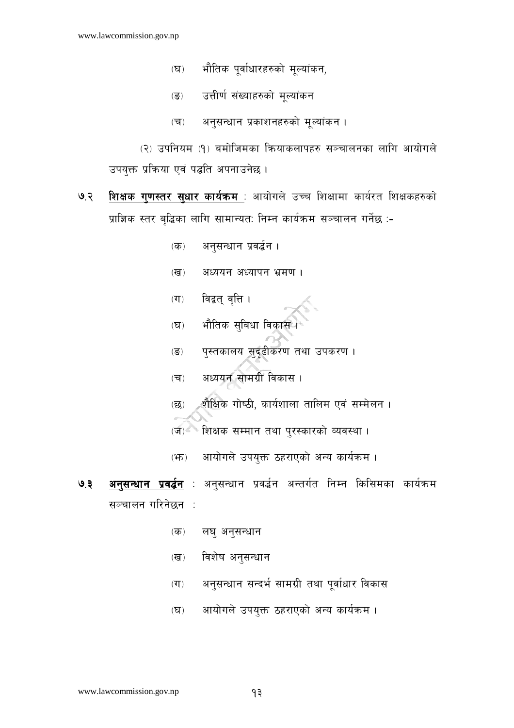- भौतिक पूर्वाधारहरुको मूल्यांकन,  $(\nabla)$
- उत्तीर्ण संख्याहरुको मूल्यांकन  $\overline{(\overline{S})}$
- अनुसन्धान प्रकाशनहरुको मूल्यांकन ।  $(\overline{\mathbf{v}})$

(२) उपनियम (१) बमोजिमका कियाकलापहरु सञ्चालनका लागि आयोगले उपयुक्त प्रक्रिया एवं पद्धति अपनाउनेछ।

- शिक्षक गुणस्तर सुधार कार्यक्रम : आयोगले उच्च शिक्षामा कार्यरत शिक्षकहरुको ७.२ प्राज्ञिक स्तर बृद्धिका लागि सामान्यत: निम्न कार्यक्रम सञ्चालन गर्नेछ :-
	- अनुसन्धान प्रवर्द्धन ।  $($ क्  $)$
	- अध्ययन अध्यापन भ्रमण ।  $(\overline{d})$
	- विद्वत् वृत्ति ।  $(TF)$
	- भौतिक सुबिधा विकास**।**  $(\nabla)$
	- पुस्तकालय सुदृढीकरण तथा उपकरण ।  $\overline{(\overline{S})}$
	- अध्ययन सामग्री विकास ।  $(\overline{\mathbf{v}})$
	- शैक्षिक गोष्ठी, कार्यशाला तालिम एवं सम्मेलन ।  $(\overline{\mathsf{R}}\overline{\mathsf{S}})$
	- <sup>६</sup> शिक्षक सम्मान तथा पुरस्कारको व्यवस्था ।  $(\overline{v})$
	- आयोगले उपयुक्त ठहराएको अन्य कार्यक्रम।  $(\mathfrak{F})$
- अनुसन्धान प्रवर्द्धन : अनुसन्धान प्रवर्द्धन अन्तर्गत निम्न किसिमका कार्यक्रम  $9.3$ सञ्चालन गरिनेछन ः
	- लघ् अनुसन्धान  $(\overline{\mathbf{p}})$
	- विशेष अनुसन्धान  $(\overline{d})$
	- अनसन्धान सन्दर्भ सामग्री तथा पर्वाधार विकास  $(T)$
	- आयोगले उपयक्त ठहराएको अन्य कार्यक्रम।  $(\nabla)$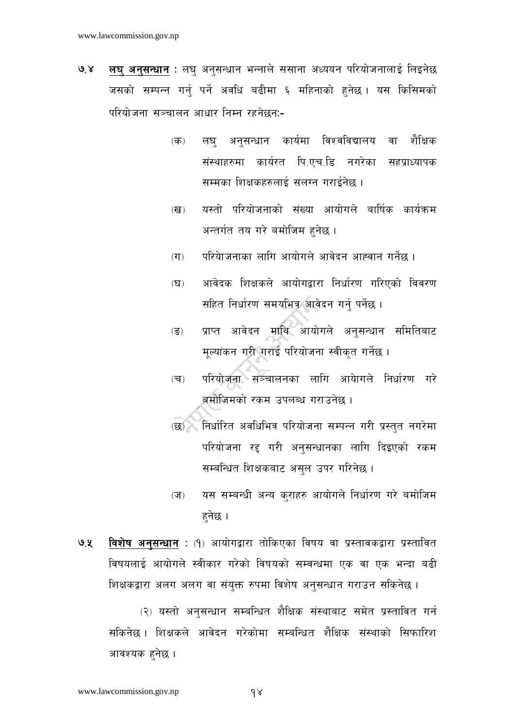- लघु अनुसन्धान : लघु अनुसन्धान भन्नाले ससाना अध्ययन परियोजनालाई लिइनेछ  $9.8$ जसको सम्पन्न गर्न पर्ने अवधि बढीमा ६ महिनाको हुनेछ । यस किसिमको परियोजना सञ्चालन आधार निम्न रहनेछन:-
	- $(\overline{d\overline{b}})$ लघ अनसन्धान कार्यमा विश्वविद्यालय वा शैक्षिक संस्थाहरुमा कार्यरत पि.एच.डि नगरेका सहप्राध्यापक सम्मका शिक्षकहरुलाई संलग्न गराईनेछ ।
	- यस्तो परियोजनाको संख्या आयोगले बार्षिक कार्यक्रम  $(\overline{d})$ अन्तर्गत तय गरे बमोजिम हनेछ ।
	- परियेाजनाका लागि आयोगले आवेदन आह्वान गर्नेछ ।  $(T)$
	- आवेदक शिक्षकले आयोगद्वारा निर्धारण गरिएको विवरण  $(\mathbf{\Sigma})$ सहित निर्धारण समयभित्र आवेदन गर्न् पर्नेछ ।
	- प्राप्त आवेदन माथि आयोगले अनुसन्धान समितिबाट  $(\overline{S})$ मूल्यांकन गरी गराई परियोजना स्वीकृत गर्नेछ ।
	- परियोजना सञ्चालनका लागि आयेागले निर्धारण गर<mark>े</mark>  $(\overline{\mathbf{v}})$ ब्रमोजिमको रकम उपलब्ध गराउनेछ ।
	- (छ) निर्धारित अवधिभित्र परियोजना सम्पन्न गरी प्रस्तत नगरेमा परियोजना रद्द गरी अनुसन्धानका लागि दिइएको रकम सम्बन्धित शिक्षकबाट असुल उपर गरिनेछ ।
	- यस सम्बन्धी अन्य क्राहरु आयोगले निर्धारण गरे बमोजिम  $(\overline{v})$ हनेछ ।
- विशेष अनुसन्धान : (१) आयोगद्वारा तोकिएका विषय वा प्रस्तावकद्वारा प्रस्तावित ७.५ विषयलाई आयोगले स्वीकार गरेको विषयको सम्वन्धमा एक वा एक भन्दा बढी शिक्षकद्वारा अलग अलग वा संयुक्त रुपमा विशेष अनुसन्धान गराउन सकिनेछ ।

(२) यस्तो अनुसन्धान सम्बन्धित शैक्षिक संस्थाबाट समेत प्रस्तावित गर्न सकिनेछ। शिक्षकले आवेदन गरेकोमा सम्बन्धित शैक्षिक संस्थाको सिफारिश आवश्यक हनेछ ।

 $\delta$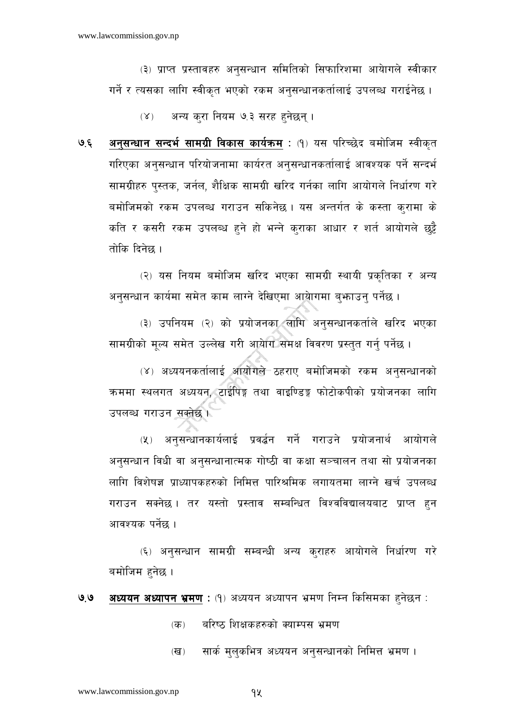(३) प्राप्त प्रस्तावहरु अनसन्धान समितिको सिफारिशमा आयेागले स्वीकार गर्ने र त्यसका लागि स्वीकत भएको रकम अनसन्धानकर्तालाई उपलब्ध गराईनेछ ।

अन्य करा नियम ७.३ सरह हुनेछन् ।  $(\lambda)$ 

अनुसन्धान सन्दर्भ सामग्री विकास कार्यक्रम : (१) यस परिच्छेद बमोजिम स्वीकृत  $9.5$ गरिएका अनुसन्धान परियोजनामा कार्यरत अनुसन्धानकर्तालाई आवश्यक पर्ने सन्दर्भ सामग्रीहरु पस्तक, जर्नल, शैक्षिक सामग्री खरिद गर्नका लागि आयोगले निर्धारण गरे बमोजिमको रकम उपलब्ध गराउन सकिनेछ। यस अन्तर्गत के कस्ता कुरामा के कति र कसरी रकम उपलब्ध हुने हो भन्ने कुराका आधार र शर्त आयोगले छुट्टै तोकि दिनेछ ।

(२) यस नियम बमोजिम खरिद भएका सामग्री स्थायी प्रकृतिका र अन्य अनुसन्धान कार्यमा समेत काम लाग्ने देखिएमा आयोगमा बुफ़ाउन् पर्नेछ ।

(३) उपनियम (२) को प्रयोजनका लागि अनुसन्धानकर्ताले खरिद भएका सामग्रीको मूल्य समेत उल्लेख गरी आयोग समक्ष विवरण प्रस्तुत गर्नु पर्नेछ ।

(४) अध्ययनकर्तालाई आयोगले ठहराए बमोजिमको रकम अनुसन्धानको क्रममा स्थलगत अध्ययन, टाईपिङ्ग तथा वाइण्डिङ्ग फोटोकपीको प्रयोजनका लागि उपलब्ध गराउन सक्नेछ ।

(५) अनुसन्धानकार्यलाई प्रवर्द्धन गर्ने गराउने प्रयोजनार्थ आयोगले अनुसन्धान विधी वा अनुसन्धानात्मक गोष्ठी वा कक्षा सञ्चालन तथा सो प्रयोजनका लागि विशेषज्ञ प्राध्यापकहरुको निमित्त पारिश्रमिक लगायतमा लाग्ने खर्च उपलब्ध गराउन सक्नेछ । तर यस्तो प्रस्ताव सम्बन्धित विश्वविद्यालयबाट प्राप्त हुन आवश्यक पर्नेछ ।

(६) अनुसन्धान सामग्री सम्बन्धी अन्य कुराहरु आयोगले निर्धारण गरे बमोजिम हनेछ ।

अध्ययन अध्यापन भ्रमण: (१) अध्ययन अध्यापन भ्रमण निम्न किसिमका हुनेछन:  $9.9$ 

> बरिष्ठ शिक्षकहरुको क्याम्पस भ्रमण  $(5)$

सार्क मुलुकभित्र अध्ययन अनुसन्धानको निमित्त भ्रमण ।  $(\overline{d})$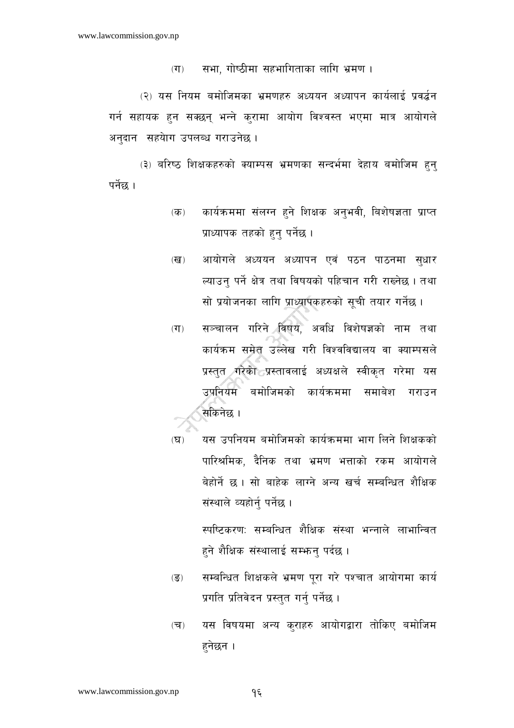सभा, गोष्ठीमा सहभागिताका लागि भ्रमण ।  $(T)$ 

(२) यस नियम बमोजिमका भ्रमणहरु अध्ययन अध्यापन कार्यलाई प्रवर्द्धन गर्न सहायक हुन सक्छन् भन्ने कुरामा आयोग विश्वस्त भएमा मात्र आयोगले अनुदान सहयेाग उपलब्ध गराउनेछ।

(३) बरिष्ठ शिक्षकहरुको क्याम्पस भ्रमणका सन्दर्भमा देहाय बमोजिम हुन् पर्नेछ ।

- कार्यक्रममा संलग्न हुने शिक्षक अनुभवी, बिशेषज्ञता प्राप्त  $(\overline{d}$ प्राध्यापक तहको हुनु पर्नेछ ।
- आयोगले अध्ययन अध्यापन एवं पठन पाठनमा सधार  $(\overline{d})$ ल्याउन पर्ने क्षेत्र तथा विषयको पहिचान गरी राख्नेछ । तथा सो प्रयोजनका लागि प्राध्यापकहरुको सूची तयार गर्नेछ ।
- सञ्चालन गरिने विषय, अवधि विशेषज्ञको नाम तथा  $(T)$ कार्यक्रम समेत उल्लेख गरी विश्वविद्यालय वा क्याम्पसले प्रस्तुत गरेको प्रस्तावलाई अध्यक्षले स्वीकृत गरेमा यस उपनियम बमोजिमको कार्यक्रममा समाबेश गराउन .सकिनेछ ।
- यस उपनियम बमोजिमको कार्यक्रममा भाग लिने शिक्षकको  $(\nabla)$ पारिश्रमिक, दैनिक तथा भ्रमण भत्ताको रकम आयोगले बेहोर्ने छ। सो बाहेक लाग्ने अन्य खर्च सम्बन्धित शैक्षिक संस्थाले व्यहोर्न् पर्नेछ।

स्पष्टिकरण: सम्बन्धित शैक्षिक संस्था भन्नाले लाभान्वित हुने शैक्षिक संस्थालाई सम्भन् पर्दछ ।

- सम्बन्धित शिक्षकले भ्रमण परा गरे पश्चात आयोगमा कार्य  $\overline{(\overline{S})}$ प्रगति प्रतिवेदन प्रस्तुत गर्न् पर्नेछ ।
- यस विषयमा अन्य क्राहरु आयोगद्वारा तोकिए बमोजिम  $(\overline{\mathbf{v}})$ हनेछन ।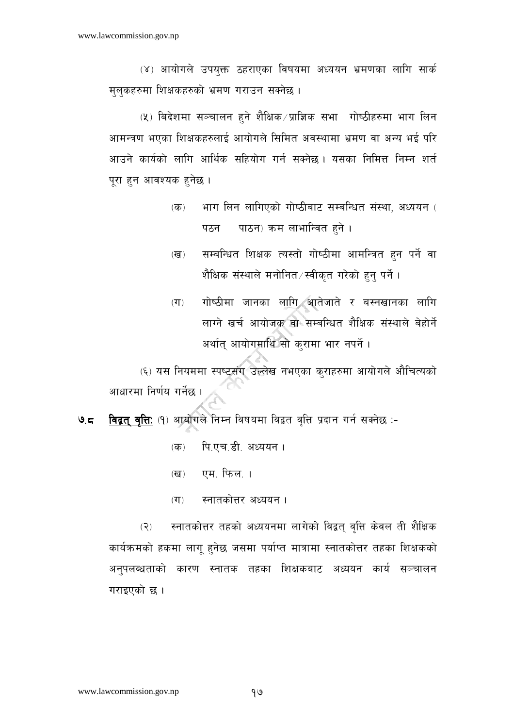(४) आयोगले उपयक्त ठहराएका विषयमा अध्ययन भ्रमणका लागि सार्क मलकहरुमा शिक्षकहरुको भ्रमण गराउन सक्नेछ ।

(५) बिदेशमा सञ्चालन हुने शैक्षिक ∕प्राज्ञिक सभा गोष्ठीहरुमा भाग लिन आमन्त्रण भएका शिक्षकहरुलाई आयोगले सिमित अवस्थामा भ्रमण वा अन्य भई परि आउने कार्यको लागि आर्थिक सहियोग गर्न सक्नेछ। यसका निमित्त निम्न शर्त पूरा हुन आवश्यक हुनेछ ।

- भाग लिन लागिएको गोष्ठीबाट सम्बन्धित संस्था, अध्ययन (  $(\overline{d\overline{b}})$ पाठन) क्रम लाभान्वित हुने । पठन
- सम्बन्धित शिक्षक त्यस्तो गोष्ठीमा आमन्त्रित हुन पर्ने वा  $(\overline{d})$ शैक्षिक संस्थाले मनोनित⁄स्वीकृत गरेको हुन् पर्ने ।
- गोष्ठीमा जानका लागि आतेजाते र बस्नखानका लागि  $(T)$ लाग्ने खर्च आयोजक वा सम्बन्धित शैक्षिक संस्थाले बेहोर्ने अर्थात् आयोगमाथि सो करामा भार नपर्ने।

(६) यस नियममा स्पष्टसंग उल्लेख नभएका क्राहरुमा आयोगले औचित्यको आधारमा निर्णय गर्नेछ ।

विद्वत् वृत्ति: (१) आयोगले निम्न विषयमा विद्वत वृत्ति प्रदान गर्न सक्नेछ :- $95$ 

- पि.एच.डी. अध्ययन ।  $(5)$
- एम. फिल. ।  $(\overline{d})$
- $(T)$ स्नातकोत्तर अध्ययन ।

स्नातकोत्तर तहको अध्ययनमा लागेको विद्वत् वृत्ति केवल ती शैक्षिक  $(2)$ कार्यक्रमको हकमा लागू हुनेछ जसमा पर्याप्त मात्रामा स्नातकोत्तर तहका शिक्षकको अनुपलब्धताको कारण स्नातक तहका शिक्षकबाट अध्ययन कार्य सञ्चालन गराइएको छ।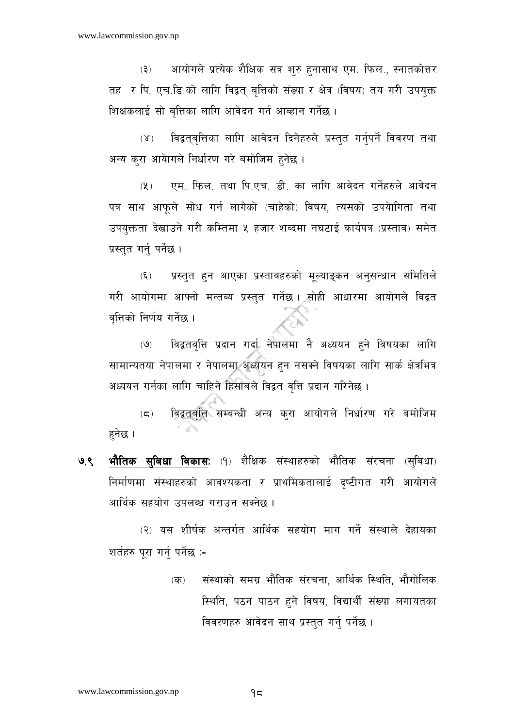आयोगले प्रत्येक शैक्षिक सत्र शरु हनासाथ एम. फिल.. स्नातकोत्तर  $(5)$ तह र पि. एच.डि.को लागि विद्वत् बत्तिको संख्या र क्षेत्र (विषय) तय गरी उपयक्त शिक्षकलाई सो बत्तिका लागि आवेदन गर्न आव्हान गर्नेछ ।

विद्वतुबृत्तिका लागि आवेदन दिनेहरुले प्रस्तुत गर्नुपर्ने विवरण तथा  $(X)$ अन्य करा आयेागले निर्धारण गरे बमोजिम हनेछ ।

 $(Y)$ एम. फिल. तथा पि.एच. डी. का लागि आवेदन गर्नेहरुले आवेदन पत्र साथ आफले सोध गर्न लागेको (चाहेको) विषय, त्यसको उपयोगिता तथा उपयुक्तता देखाउने गरी कम्तिमा ५ हजार शब्दमा नघटाई कार्यपत्र (प्रस्ताव) समेत प्रस्तुत गर्न् पर्नेछ ।

प्रस्तुत हुन आएका प्रस्तावहरुको मुल्याङ्कन अनुसन्धान समितिले  $(\xi)$ गरी आयोगमा आफ्नो मन्तब्य प्रस्तुत गर्नेछ । सोही आधारमा आयोगले विद्वत वत्तिको निर्णय गर्नेछ ।

विद्वतवत्ति प्रदान गर्दा नेपालमा नै अध्ययन हने विषयका लागि  $(9)$ सामान्यतया नेपालमा र नेपालमा अध्ययन हुन नसक्ने विषयका लागि सार्क क्षेत्रभित्र अध्ययन गर्नका लागि चाहिने हिसाबले विद्वत वृत्ति प्रदान गरिनेछ ।

विद्वतवृत्ति सम्बन्धी अन्य करा आयोगले निर्धारण गरे बमोजिम  $(\boldsymbol{\varsigma})$ हनेछ ।

**भौतिक सुबिधा विकास:** (१) शैक्षिक संस्थाहरुको भौतिक संरचना (सुबिधा) ७.९ निर्माणमा संस्थाहरुको आवश्यकता र प्राथमिकतालाई दृष्टीगत गरी आयोगले आर्थिक सहयोग उपलब्ध गराउन सक्नेछ ।

(२) यस शीर्षक अन्तर्गत आर्थिक सहयोग माग गर्ने संस्थाले देहायका शर्तहरु पुरा गर्न् पर्नेछ :-

> संस्थाको समग्र भौतिक संरचना, आर्थिक स्थिति, भौगोलिक  $(\overline{d\overline{b}})$ स्थिति, पठन पाठन हुने विषय, विद्यार्थी संख्या लगायतका विवरणहरु आवेदन साथ प्रस्तुत गर्न पर्नेछ ।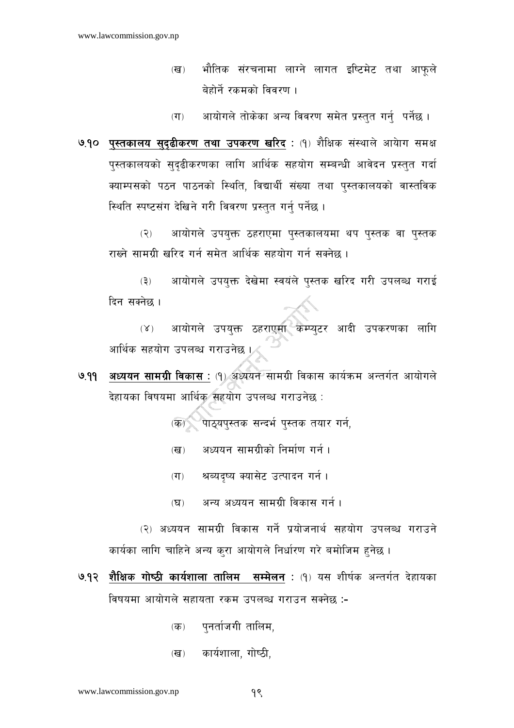भौतिक संरचनामा लाग्ने लागत इष्टिमेट तथा आफुले  $(\overline{d})$ बेहोर्ने रकमको विवरण ।

आयोगले तोकेका अन्य विवरण समेत प्रस्तुत गर्नु पर्नेछ।  $(T)$ 

७.१० पुस्तकालय सुदुढीकरण तथा उपकरण खरिद: (१) शैक्षिक संस्थाले आयोग समक्ष पुस्तकालयको सुदृढीकरणका लागि आर्थिक सहयोग सम्बन्धी आवेदन प्रस्तुत गर्दा क्याम्पसको पठन पाठनको स्थिति, विद्यार्थी संख्या तथा पस्तकालयको वास्तविक स्थिति स्पष्टसंग देखिने गरी विवरण प्रस्तत गर्न पर्नेछ ।

आयोगले उपयुक्त ठहराएमा पुस्तकालयमा थप पुस्तक वा पुस्तक  $(5)$ राख्ने सामग्री खरिद गर्न समेत आर्थिक सहयोग गर्न सक्नेछ ।

आयोगले उपयक्त देखेमा स्वयंले पस्तक खरिद गरी उपलब्ध गराई  $(3)$ दिन सक्नेछ ।

आयोगले उपयुक्त ठहराएमा कम्प्युटर आदी उपकरणका लागि  $(X)$ आर्थिक सहयोग उपलब्ध गराउनेछ ।

अध्ययन सामग्री विकास: (१) अध्ययन सामग्री विकास कार्यक्रम अन्तर्गत आयोगले  $999$ देहायका विषयमा आर्थिक सहयोग उपलब्ध गराउनेछ :

(क) पाठयपस्तक सन्दर्भ पस्तक तयार गर्न.

- अध्ययन सामग्रीको निर्माण गर्न ।  $(\overline{\mathbf{G}})$
- श्रब्यदृष्य क्यासेट उत्पादन गर्न ।  $(T)$
- अन्य अध्ययन सामग्री विकास गर्न ।  $(\nabla)$

(२) अध्ययन सामग्री विकास गर्ने प्रयोजनार्थ सहयोग उपलब्ध गराउने कार्यका लागि चाहिने अन्य करा आयोगले निर्धारण गरे बमोजिम हनेछ ।

- ७.१२ शैक्षिक गोष्ठी कार्यशाला तालिम सम्मेलन : (१) यस शीर्षक अन्तर्गत देहायका विषयमा आयोगले सहायता रकम उपलब्ध गराउन सक्नेछ :-
	- पुनर्ताजगी तालिम,  $(\overline{d}$ )
	- कार्यशाला, गोष्ठी,  $(d\overline{d})$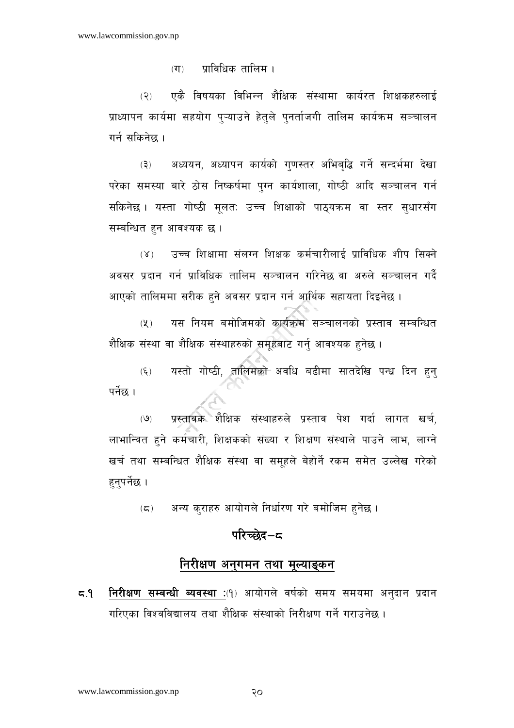$(T)$ प्राविधिक तालिम ।

एकै विषयका विभिन्न शैक्षिक संस्थामा कार्यरत शिक्षकहरुलाई  $(5)$ प्राध्यापन कार्यमा सहयोग प्ऱ्याउने हेतुले पुनर्ताजगी तालिम कार्यक्रम सञ्चालन गर्न सकिनेछ ।

अध्ययन, अध्यापन कार्यको गुणस्तर अभिबुद्धि गर्ने सन्दर्भमा देखा  $(5)$ परेका समस्या बारे ठोस निष्कर्षमा पग्न कार्यशाला, गोष्ठी आदि सञ्चालन गर्न सकिनेछ । यस्ता गोष्ठी मलतः उच्च शिक्षाको पाठयक्रम वा स्तर सधारसँग सम्बन्धित हुन आवश्यक छ।

उच्च शिक्षामा संलग्न शिक्षक कर्मचारीलाई प्राविधिक शीप सिक्ने  $(\gamma)$ अवसर प्रदान गर्न प्राविधिक तालिम सञ्चालन गरिनेछ वा अरुले सञ्चालन गर्दै आएको तालिममा सरीक हुने अवसर प्रदान गर्न आर्थिक सहायता दिइनेछ ।

यस नियम बमोजिमको कार्यक्रम सञ्चालनको प्रस्ताव सम्बन्धित  $(\mathbf{Y})$ शैक्षिक संस्था वा शैक्षिक संस्थाहरुको समुहबाट गर्न् आवश्यक हुनेछ ।

यस्तो गोष्ठी, तालिमको अवधि बढीमा सातदेखि पन्ध्र दिन हन्  $(\xi)$ पर्नेछ ।

प्रस्तावक शैक्षिक संस्थाहरुले प्रस्ताव पेश गर्दा लागत खर्च,  $(9)$ लाभान्वित हुने कर्मचारी, शिक्षकको संख्या र शिक्षण संस्थाले पाउने लाभ, लाग्ने खर्च तथा सम्बन्धित शैक्षिक संस्था वा समुहले बेहोर्ने रकम समेत उल्लेख गरेको हन्पर्नेछ ।

अन्य कराहरु आयोगले निर्धारण गरे बमोजिम हुनेछ ।  $(\boldsymbol{\varsigma})$ 

## परिच्छेद $-\epsilon$

## निरीक्षण अनुगमन तथा मूल्याङ्कन

नि**रीक्षण सम्बन्धी ब्यवस्था** :(१) आयोगले वर्षको समय समयमा अनुदान प्रदान  $5.5$ गरिएका विश्वविद्यालय तथा शैक्षिक संस्थाको निरीक्षण गर्ने गराउनेछ ।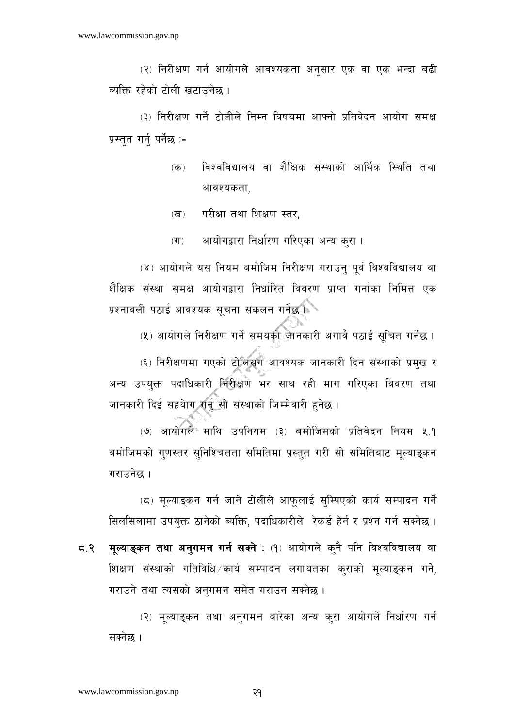(२) निरीक्षण गर्न आयोगले आवश्यकता अनसार एक वा एक भन्दा बढी ब्यक्ति रहेको टोली खटाउनेछ ।

(३) निरीक्षण गर्ने टोलीले निम्न विषयमा आफ्नो प्रतिवेदन आयोग समक्ष प्रस्तुत गर्नु पर्नेछ :-

- विश्वविद्यालय वा शैक्षिक संस्थाको आर्थिक स्थिति तथा  $\overline{d}$ आवश्यकता.
- परीक्षा तथा शिक्षण स्तर,  $(\overline{d})$
- $(T)$ आयोगद्वारा निर्धारण गरिएका अन्य कुरा ।

(४) आयोगले यस नियम बमोजिम निरीक्षण गराउन् पूर्व विश्वविद्यालय वा शैक्षिक संस्था समक्ष आयोगद्वारा निर्धारित विवरण प्राप्त गर्नाका निमित्त एक प्रश्नावली पठाई आवश्यक सचना संकलन गर्नेछ

(५) आयोगले निरीक्षण गर्ने समयको जानकारी अगावै पठाई सचित गर्नेछ ।

(६) निरीक्षणमा गएको टोलिसंग आवश्यक जानकारी दिन संस्थाको प्रमुख र अन्य उपयुक्त पदाधिकारी निरीक्षण भर साथ रही माग गरिएका विवरण तथा जानकारी दिई सहयेाग गर्नु सो संस्थाको जिम्मेवारी हुनेछ ।

(७) आयोगले माथि उपनियम (३) बमोजिमको प्रतिवेदन नियम ५.१ बमोजिमको गणस्तर सुनिश्चितता समितिमा प्रस्तुत गरी सो समितिबाट मुल्याङ्कन गराउनेछ ।

(८) मूल्याङ्कन गर्न जाने टोलीले आफूलाई सुम्पिएको कार्य सम्पादन गर्ने सिलसिलामा उपयक्त ठानेको ब्यक्ति. पदाधिकारीले रेकर्ड हेर्न र प्रश्न गर्न सक्नेछ ।

मुल्याङ्कन तथा अनुगमन गर्न सक्ने : (१) आयोगले कनै पनि विश्वविद्यालय वा  $5.5$ शिक्षण संस्थाको गतिविधि कार्य सम्पादन लगायतका कुराको मूल्याङ्कन गर्ने, गराउने तथा त्यसको अनगमन समेत गराउन सक्नेछ।

(२) मूल्याङ्कन तथा अनुगमन बारेका अन्य कुरा आयोगले निर्धारण गर्न सक्नेछ ।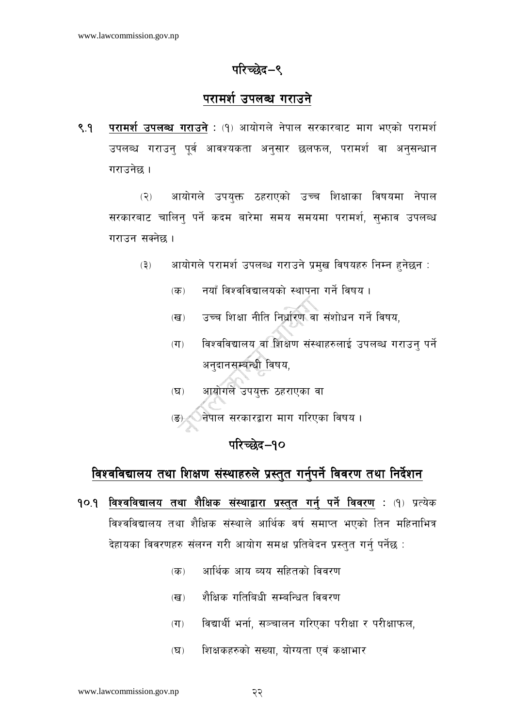## परिच्छेद–९

## परामर्श उपलब्ध गराउने

परामर्श उपलब्ध गराउने : (१) आयोगले नेपाल सरकारबाट माग भएको परामर्श  $8.9$ उपलब्ध गराउन् पूर्व आवश्यकता अनुसार छलफल, परामर्श वा अनुसन्धान गराउनेछ ।

आयोगले उपयुक्त ठहराएको उच्च शिक्षाका विषयमा नेपाल  $(5)$ सरकारबाट चालिन पर्ने कदम बारेमा समय समयमा परामर्श, सभ्नाव उपलब्ध गराउन सक्नेछ ।

- आयोगले परामर्श उपलब्ध गराउने प्रमुख विषयहरु निम्न हुनेछन :  $(5)$ 
	- नयाँ विश्वविद्यालयको स्थापना गर्ने विषय ।  $\overline{d}$
	- उच्च शिक्षा नीति निर्धारण वा संशोधन गर्ने विषय.  $(\overline{d})$
	- विश्वविद्यालय वा शिक्षण संस्थाहरुलाई उपलब्ध गराउन पर्ने  $(T)$ अनुदानसम्बन्धी विषय,
	- आयोगले उपयुक्त ठहराएका वा  $(\nabla)$
	- (ड) वेपाल सरकारद्वारा माग गरिएका विषय।

## परिच्छेद-१०

## विश्वविद्यालय तथा शिक्षण संस्थाहरुले प्रस्तुत गर्नुपर्ने विवरण तथा निर्देशन

- **१०.१ विश्वविद्यालय तथा शैक्षिक संस्थाद्वारा प्रस्तुत गर्नु पर्ने विवरण : (१) प्रत्येक** विश्वविद्यालय तथा शैक्षिक संस्थाले आर्थिक वर्ष समाप्त भएको तिन महिनाभित्र देहायका विवरणहरु संलग्न गरी आयोग समक्ष प्रतिबेदन प्रस्तत गर्न पर्नेछ :
	- आर्थिक आय ब्यय सहितको विवरण  $(\overline{d\overline{b}})$
	- शैक्षिक गतिबिधी सम्बन्धित विवरण  $(\overline{\mathbf{G}})$
	- विद्यार्थी भर्ना, सञ्चालन गरिएका परीक्षा र परीक्षाफल,  $(T)$
	- शिक्षकहरुको संख्या, योग्यता एवं कक्षाभार  $(\nabla)$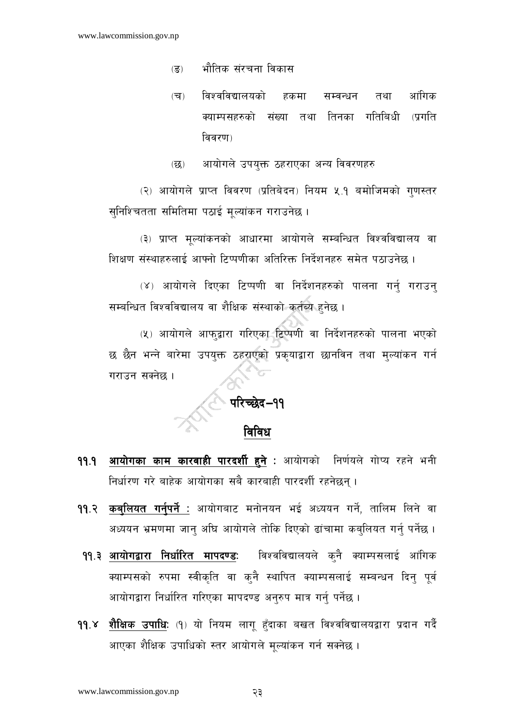- भौतिक संरचना विकास  $\overline{(\overline{S})}$
- विश्वविद्यालयको हकमा तथा आंगिक  $(\overline{u})$ सम्बन्धन क्याम्पसहरुको संख्या तथा तिनका गतिबिधी (प्रगति विवरण)
- आयोगले उपयक्त ठहराएका अन्य विवरणहरु  $\overline{\mathfrak{B}}$

(२) आयोगले प्राप्त विवरण (प्रतिबेदन) नियम ५.१ बमोजिमको गणस्तर सुनिश्चितता समितिमा पठाई मूल्यांकन गराउनेछ ।

(३) प्राप्त मुल्यांकनको आधारमा आयोगले सम्बन्धित विश्वविद्यालय वा शिक्षण संस्थाहरुलाई आफ्नो टिप्पणीका अतिरिक्त निर्देशनहरु समेत पठाउनेछ ।

(४) आयोगले दिएका टिप्पणी वा निर्देशनहरुको पालना गर्नु गराउन् सम्बन्धित विश्वविद्यालय वा शैक्षिक संस्थाको कर्तब्य हुनेछ ।

(५) आयोगले आफ्द्वारा गरिएका टिप्पणी वा निर्देशनहरुको पालना भएको छ छैन भन्ने बारेमा उपयुक्त ठहराएको प्रकुयाद्वारा छानविन तथा मुल्यांकन गर्न गराउन सक्नेछ ।

# ि परिच्छेद–११<br>विविध

- आयोगका काम कारवाही पारदर्शी हुने : आयोगको निर्णयले गोप्य रहने भनी  $99.9$ निर्धारण गरे बाहेक आयोगका सबै कारबाही पारदर्शी रहनेछन्।
- 99.२ कबुलियत गर्नुपर्ने : आयोगबाट मनोनयन भई अध्ययन गर्ने, तालिम लिने वा अध्ययन भ्रमणमा जान् अघि आयोगले तोकि दिएको ढांचामा कब्लियत गर्न् पर्नेछ ।
- विश्वविद्यालयले कुनै क्याम्पसलाई आंगिक ११.३ आयोगद्वारा निर्धारित मापदण्ड: क्याम्पसको रुपमा स्वीकृति वा कुनै स्थापित क्याम्पसलाई सम्बन्धन दिनु पूर्व आयोगद्वारा निर्धारित गरिएका मापदण्ड अनुरुप मात्र गर्नु पर्नेछ ।
- शैक्षिक उपाधिः (१) यो नियम लागू हँदाका बखत विश्वविद्यालयद्वारा प्रदान गर्दै  $99.8$ आएका शैक्षिक उपाधिको स्तर आयोगले मुल्यांकन गर्न सक्नेछ ।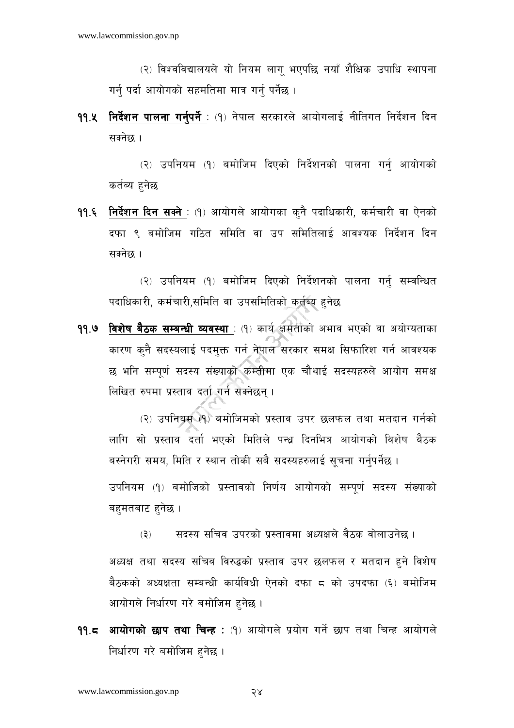(२) विश्वविद्यालयले यो नियम लाग भएपछि नयाँ शैक्षिक उपाधि स्थापना गर्न पर्दा आयोगको सहमतिमा मात्र गर्न पर्नेछ ।

**११.५ निर्देशन पालना गर्नुपर्ने** : (१) नेपाल सरकारले आयोगलाई नीतिगत निर्देशन दिन सक्नेछ ।

(२) उपनियम (१) बमोजिम दिएको निर्देशनको पालना गर्नु आयोगको कर्तव्य हनेछ

99.६ <u>निर्देशन दिन सक्ने :</u> (9) आयोगले आयोगका कुनै पदाधिकारी, कर्मचारी वा ऐनको दफा ९ बमोजिम गठित समिति वा उप समितिलाई आवश्यक निर्देशन दिन सक्नेछ ।

(२) उपनियम (१) बमोजिम दिएको निर्देशनको पालना गर्न सम्वन्धित पदाधिकारी, कर्मचारी,समिति वा उपसमितिको कर्तब्य हुनेछ

99.9 विशेष बैठक सम्बन्धी व्यवस्था : (१) कार्य क्षमताको अभाव भएको वा अयोग्यताका कारण कुनै सदस्यलाई पदमुक्त गर्न नेपाल सरकार समक्ष सिफारिश गर्न आवश्यक छ भनि सम्पूर्ण सदस्य संख्याको कम्तीमा एक चौथाई सदस्यहरुले आयोग समक्ष लिखित रुपमा प्रस्ताव दर्ता गर्न सक्नेछन् ।

(२) उपनियम (१) बमोजिमको प्रस्ताव उपर छलफल तथा मतदान गर्नको लागि सो प्रस्ताव दर्ता भएको मितिले पन्ध दिनभित्र आयोगको विशेष बैठक बस्नेगरी समय, मिति र स्थान तोकी सबै सदस्यहरुलाई सचना गर्नपर्नेछ ।

उपनियम (१) बमोजिको प्रस्तावको निर्णय आयोगको सम्पर्ण सदस्य संख्याको बहमतबाट हनेछ ।

्सदस्य सचिव उपरको प्रस्तावमा अध्यक्षले बैठक वोलाउनेछ ।  $(5)$ अध्यक्ष तथा सदस्य सचिव विरुद्धको प्रस्ताव उपर छलफल र मतदान हुने विशेष बैठकको अध्यक्षता सम्बन्धी कार्यविधी ऐनको दफा ८ को उपदफा (६) बमोजिम आयोगले निर्धारण गरे बमोजिम हुनेछ ।

99.८ <u>आयोगको छाप तथा चिन्ह</u> : (१) आयोगले प्रयोग गर्ने छाप तथा चिन्ह आयोगले निर्धारण गरे बमोजिम हनेछ ।